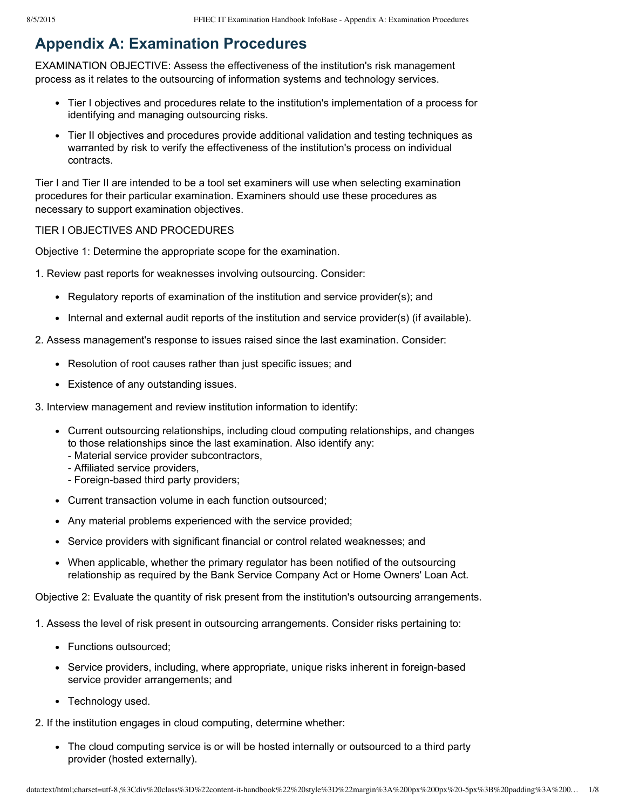# **Appendix A: Examination Procedures**

EXAMINATION OBJECTIVE: Assess the effectiveness of the institution's risk management process as it relates to the outsourcing of information systems and technology services.

- Tier I objectives and procedures relate to the institution's implementation of a process for identifying and managing outsourcing risks.
- Tier II objectives and procedures provide additional validation and testing techniques as warranted by risk to verify the effectiveness of the institution's process on individual contracts.

Tier I and Tier II are intended to be a tool set examiners will use when selecting examination procedures for their particular examination. Examiners should use these procedures as necessary to support examination objectives.

## TIER I OBJECTIVES AND PROCEDURES

Objective 1: Determine the appropriate scope for the examination.

- 1. Review past reports for weaknesses involving outsourcing. Consider:
	- Regulatory reports of examination of the institution and service provider(s); and
	- Internal and external audit reports of the institution and service provider(s) (if available).
- 2. Assess management's response to issues raised since the last examination. Consider:
	- Resolution of root causes rather than just specific issues; and
	- Existence of any outstanding issues.

3. Interview management and review institution information to identify:

- Current outsourcing relationships, including cloud computing relationships, and changes to those relationships since the last examination. Also identify any:
	- Material service provider subcontractors,
	- Affiliated service providers,
	- Foreign-based third party providers;
- Current transaction volume in each function outsourced;
- Any material problems experienced with the service provided;
- Service providers with significant financial or control related weaknesses; and
- When applicable, whether the primary regulator has been notified of the outsourcing relationship as required by the Bank Service Company Act or Home Owners' Loan Act.

Objective 2: Evaluate the quantity of risk present from the institution's outsourcing arrangements.

- 1. Assess the level of risk present in outsourcing arrangements. Consider risks pertaining to:
	- Functions outsourced;
	- Service providers, including, where appropriate, unique risks inherent in foreign-based service provider arrangements; and
	- Technology used.

2. If the institution engages in cloud computing, determine whether:

• The cloud computing service is or will be hosted internally or outsourced to a third party provider (hosted externally).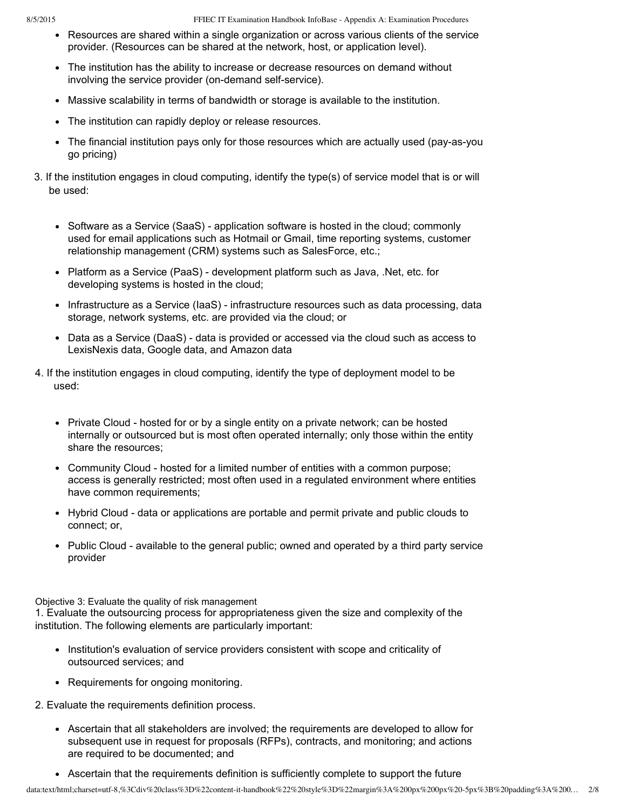- Resources are shared within a single organization or across various clients of the service provider. (Resources can be shared at the network, host, or application level).
- The institution has the ability to increase or decrease resources on demand without involving the service provider (on-demand self-service).
- Massive scalability in terms of bandwidth or storage is available to the institution.
- The institution can rapidly deploy or release resources.
- The financial institution pays only for those resources which are actually used (pay-as-you go pricing)
- 3. If the institution engages in cloud computing, identify the type(s) of service model that is or will be used:
	- Software as a Service (SaaS) application software is hosted in the cloud; commonly used for email applications such as Hotmail or Gmail, time reporting systems, customer relationship management (CRM) systems such as SalesForce, etc.;
	- Platform as a Service (PaaS) development platform such as Java, .Net, etc. for developing systems is hosted in the cloud;
	- Infrastructure as a Service (IaaS) infrastructure resources such as data processing, data storage, network systems, etc. are provided via the cloud; or
	- Data as a Service (DaaS) data is provided or accessed via the cloud such as access to LexisNexis data, Google data, and Amazon data
- 4. If the institution engages in cloud computing, identify the type of deployment model to be used:
	- Private Cloud hosted for or by a single entity on a private network; can be hosted internally or outsourced but is most often operated internally; only those within the entity share the resources;
	- Community Cloud hosted for a limited number of entities with a common purpose; access is generally restricted; most often used in a regulated environment where entities have common requirements;
	- Hybrid Cloud data or applications are portable and permit private and public clouds to connect; or,
	- Public Cloud available to the general public; owned and operated by a third party service provider

Objective 3: Evaluate the quality of risk management

1. Evaluate the outsourcing process for appropriateness given the size and complexity of the institution. The following elements are particularly important:

- Institution's evaluation of service providers consistent with scope and criticality of outsourced services; and
- Requirements for ongoing monitoring.

2. Evaluate the requirements definition process.

- Ascertain that all stakeholders are involved; the requirements are developed to allow for subsequent use in request for proposals (RFPs), contracts, and monitoring; and actions are required to be documented; and
- Ascertain that the requirements definition is sufficiently complete to support the future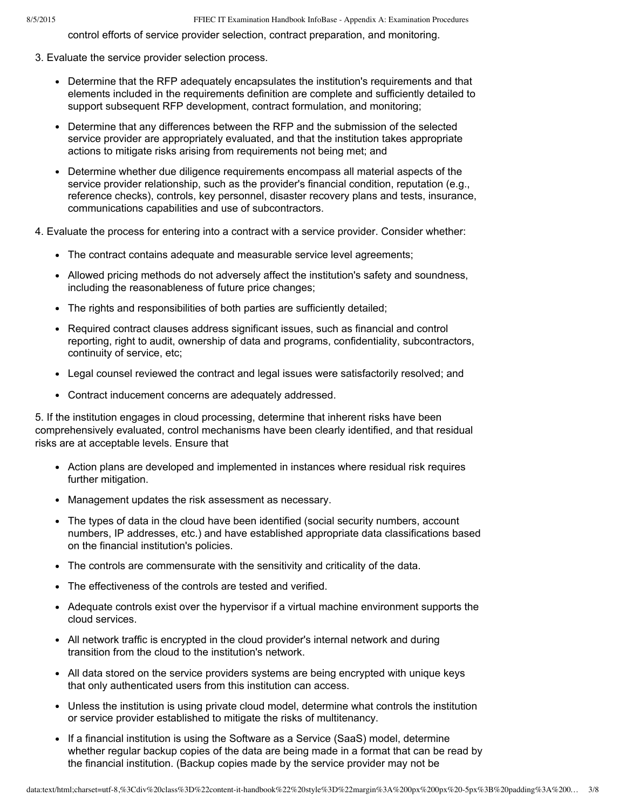control efforts of service provider selection, contract preparation, and monitoring.

- 3. Evaluate the service provider selection process.
	- Determine that the RFP adequately encapsulates the institution's requirements and that elements included in the requirements definition are complete and sufficiently detailed to support subsequent RFP development, contract formulation, and monitoring;
	- Determine that any differences between the RFP and the submission of the selected service provider are appropriately evaluated, and that the institution takes appropriate actions to mitigate risks arising from requirements not being met; and
	- Determine whether due diligence requirements encompass all material aspects of the service provider relationship, such as the provider's financial condition, reputation (e.g., reference checks), controls, key personnel, disaster recovery plans and tests, insurance, communications capabilities and use of subcontractors.
- 4. Evaluate the process for entering into a contract with a service provider. Consider whether:
	- The contract contains adequate and measurable service level agreements;
	- Allowed pricing methods do not adversely affect the institution's safety and soundness, including the reasonableness of future price changes;
	- The rights and responsibilities of both parties are sufficiently detailed;
	- Required contract clauses address significant issues, such as financial and control reporting, right to audit, ownership of data and programs, confidentiality, subcontractors, continuity of service, etc;
	- Legal counsel reviewed the contract and legal issues were satisfactorily resolved; and
	- Contract inducement concerns are adequately addressed.

5. If the institution engages in cloud processing, determine that inherent risks have been comprehensively evaluated, control mechanisms have been clearly identified, and that residual risks are at acceptable levels. Ensure that

- Action plans are developed and implemented in instances where residual risk requires further mitigation.
- Management updates the risk assessment as necessary.
- The types of data in the cloud have been identified (social security numbers, account numbers, IP addresses, etc.) and have established appropriate data classifications based on the financial institution's policies.
- The controls are commensurate with the sensitivity and criticality of the data.
- The effectiveness of the controls are tested and verified.
- Adequate controls exist over the hypervisor if a virtual machine environment supports the cloud services.
- All network traffic is encrypted in the cloud provider's internal network and during transition from the cloud to the institution's network.
- All data stored on the service providers systems are being encrypted with unique keys that only authenticated users from this institution can access.
- Unless the institution is using private cloud model, determine what controls the institution or service provider established to mitigate the risks of multitenancy.
- If a financial institution is using the Software as a Service (SaaS) model, determine whether regular backup copies of the data are being made in a format that can be read by the financial institution. (Backup copies made by the service provider may not be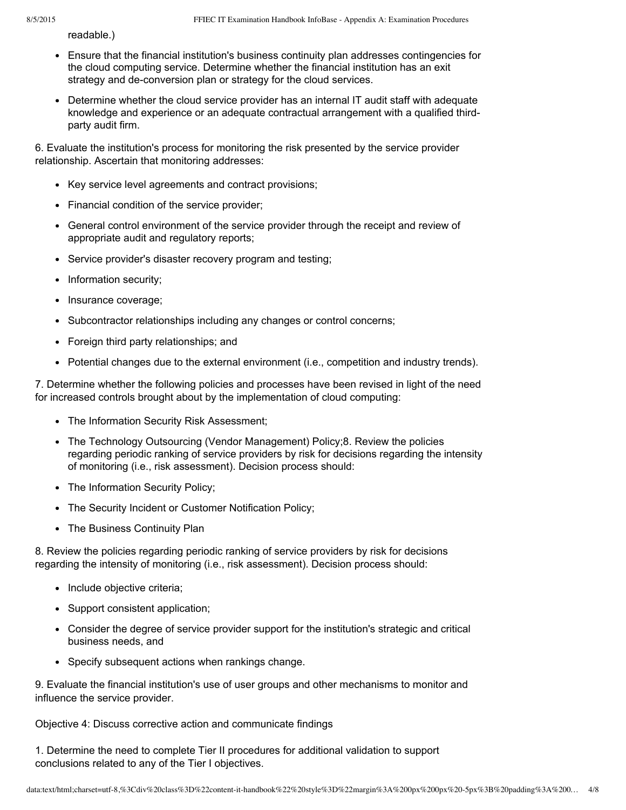readable.)

- Ensure that the financial institution's business continuity plan addresses contingencies for the cloud computing service. Determine whether the financial institution has an exit strategy and de-conversion plan or strategy for the cloud services.
- Determine whether the cloud service provider has an internal IT audit staff with adequate knowledge and experience or an adequate contractual arrangement with a qualified thirdparty audit firm.

6. Evaluate the institution's process for monitoring the risk presented by the service provider relationship. Ascertain that monitoring addresses:

- Key service level agreements and contract provisions;
- Financial condition of the service provider;
- General control environment of the service provider through the receipt and review of appropriate audit and regulatory reports;
- Service provider's disaster recovery program and testing;
- Information security;
- Insurance coverage;
- Subcontractor relationships including any changes or control concerns;
- Foreign third party relationships; and
- Potential changes due to the external environment (i.e., competition and industry trends).

7. Determine whether the following policies and processes have been revised in light of the need for increased controls brought about by the implementation of cloud computing:

- The Information Security Risk Assessment;
- The Technology Outsourcing (Vendor Management) Policy;8. Review the policies regarding periodic ranking of service providers by risk for decisions regarding the intensity of monitoring (i.e., risk assessment). Decision process should:
- The Information Security Policy;
- The Security Incident or Customer Notification Policy;
- The Business Continuity Plan

8. Review the policies regarding periodic ranking of service providers by risk for decisions regarding the intensity of monitoring (i.e., risk assessment). Decision process should:

- Include objective criteria;
- Support consistent application;
- Consider the degree of service provider support for the institution's strategic and critical business needs, and
- Specify subsequent actions when rankings change.

9. Evaluate the financial institution's use of user groups and other mechanisms to monitor and influence the service provider.

Objective 4: Discuss corrective action and communicate findings

1. Determine the need to complete Tier II procedures for additional validation to support conclusions related to any of the Tier I objectives.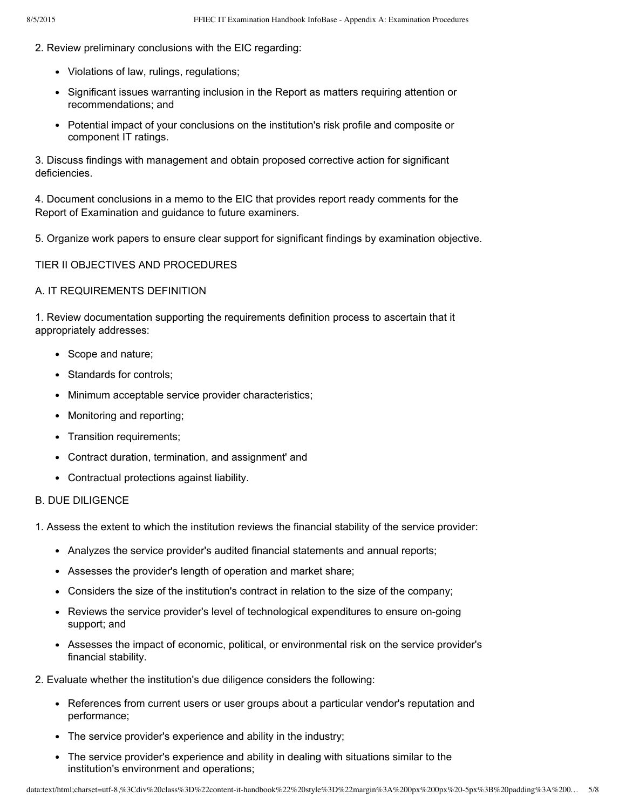- 2. Review preliminary conclusions with the EIC regarding:
	- Violations of law, rulings, regulations;
	- Significant issues warranting inclusion in the Report as matters requiring attention or recommendations; and
	- Potential impact of your conclusions on the institution's risk profile and composite or component IT ratings.

3. Discuss findings with management and obtain proposed corrective action for significant deficiencies.

4. Document conclusions in a memo to the EIC that provides report ready comments for the Report of Examination and guidance to future examiners.

5. Organize work papers to ensure clear support for significant findings by examination objective.

#### TIER II OBJECTIVES AND PROCEDURES

#### A. IT REQUIREMENTS DEFINITION

1. Review documentation supporting the requirements definition process to ascertain that it appropriately addresses:

- Scope and nature;
- Standards for controls;
- Minimum acceptable service provider characteristics;
- Monitoring and reporting;
- Transition requirements;
- Contract duration, termination, and assignment' and
- Contractual protections against liability.

### B. DUE DILIGENCE

- 1. Assess the extent to which the institution reviews the financial stability of the service provider:
	- Analyzes the service provider's audited financial statements and annual reports;
	- Assesses the provider's length of operation and market share;
	- Considers the size of the institution's contract in relation to the size of the company;
	- Reviews the service provider's level of technological expenditures to ensure on-going support; and
	- Assesses the impact of economic, political, or environmental risk on the service provider's financial stability.
- 2. Evaluate whether the institution's due diligence considers the following:
	- References from current users or user groups about a particular vendor's reputation and performance;
	- The service provider's experience and ability in the industry;
	- The service provider's experience and ability in dealing with situations similar to the institution's environment and operations;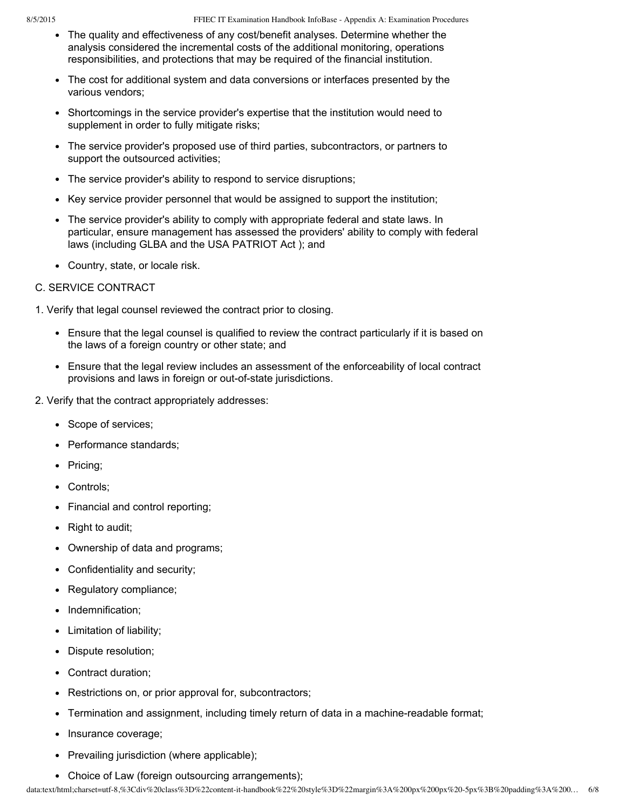- The quality and effectiveness of any cost/benefit analyses. Determine whether the analysis considered the incremental costs of the additional monitoring, operations responsibilities, and protections that may be required of the financial institution.
- The cost for additional system and data conversions or interfaces presented by the various vendors;
- Shortcomings in the service provider's expertise that the institution would need to supplement in order to fully mitigate risks;
- The service provider's proposed use of third parties, subcontractors, or partners to support the outsourced activities;
- The service provider's ability to respond to service disruptions;
- Key service provider personnel that would be assigned to support the institution;
- The service provider's ability to comply with appropriate federal and state laws. In particular, ensure management has assessed the providers' ability to comply with federal laws (including GLBA and the USA PATRIOT Act ); and
- Country, state, or locale risk.

#### C. SERVICE CONTRACT

1. Verify that legal counsel reviewed the contract prior to closing.

- Ensure that the legal counsel is qualified to review the contract particularly if it is based on the laws of a foreign country or other state; and
- Ensure that the legal review includes an assessment of the enforceability of local contract provisions and laws in foreign or out-of-state jurisdictions.
- 2. Verify that the contract appropriately addresses:
	- Scope of services;
	- Performance standards;
	- Pricing;
	- Controls;
	- Financial and control reporting;
	- Right to audit;
	- Ownership of data and programs;
	- Confidentiality and security;
	- Regulatory compliance;
	- Indemnification;
	- Limitation of liability;
	- Dispute resolution;
	- Contract duration;
	- Restrictions on, or prior approval for, subcontractors;
	- Termination and assignment, including timely return of data in a machine-readable format;
	- Insurance coverage;
	- Prevailing jurisdiction (where applicable);
	- Choice of Law (foreign outsourcing arrangements);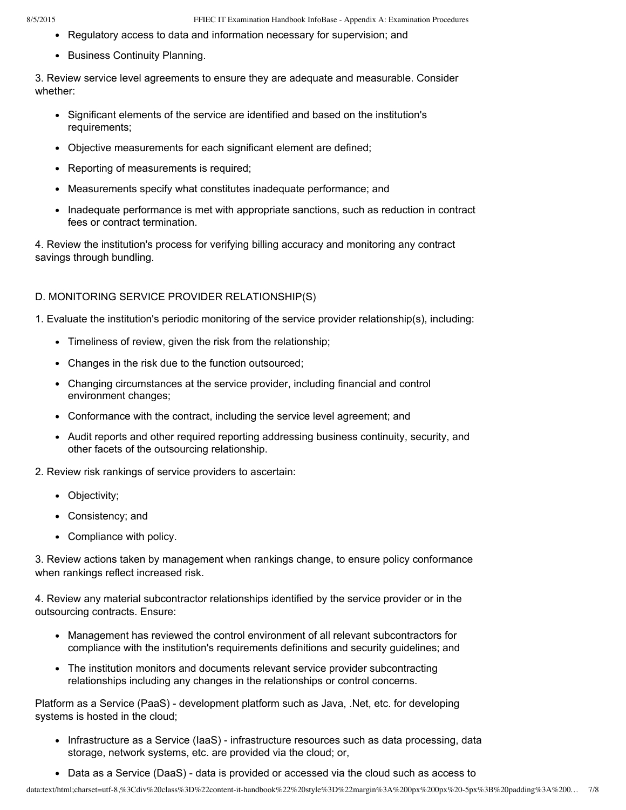- Regulatory access to data and information necessary for supervision; and
- Business Continuity Planning.

3. Review service level agreements to ensure they are adequate and measurable. Consider whether:

- Significant elements of the service are identified and based on the institution's requirements;
- Objective measurements for each significant element are defined;
- Reporting of measurements is required;
- Measurements specify what constitutes inadequate performance; and
- Inadequate performance is met with appropriate sanctions, such as reduction in contract fees or contract termination.

4. Review the institution's process for verifying billing accuracy and monitoring any contract savings through bundling.

# D. MONITORING SERVICE PROVIDER RELATIONSHIP(S)

1. Evaluate the institution's periodic monitoring of the service provider relationship(s), including:

- Timeliness of review, given the risk from the relationship;
- Changes in the risk due to the function outsourced;
- Changing circumstances at the service provider, including financial and control environment changes;
- Conformance with the contract, including the service level agreement; and
- Audit reports and other required reporting addressing business continuity, security, and other facets of the outsourcing relationship.

2. Review risk rankings of service providers to ascertain:

- Objectivity;
- Consistency; and
- Compliance with policy.

3. Review actions taken by management when rankings change, to ensure policy conformance when rankings reflect increased risk.

4. Review any material subcontractor relationships identified by the service provider or in the outsourcing contracts. Ensure:

- Management has reviewed the control environment of all relevant subcontractors for compliance with the institution's requirements definitions and security guidelines; and
- The institution monitors and documents relevant service provider subcontracting relationships including any changes in the relationships or control concerns.

Platform as a Service (PaaS) - development platform such as Java, .Net, etc. for developing systems is hosted in the cloud;

- Infrastructure as a Service (IaaS) infrastructure resources such as data processing, data storage, network systems, etc. are provided via the cloud; or,
- Data as a Service (DaaS) data is provided or accessed via the cloud such as access to